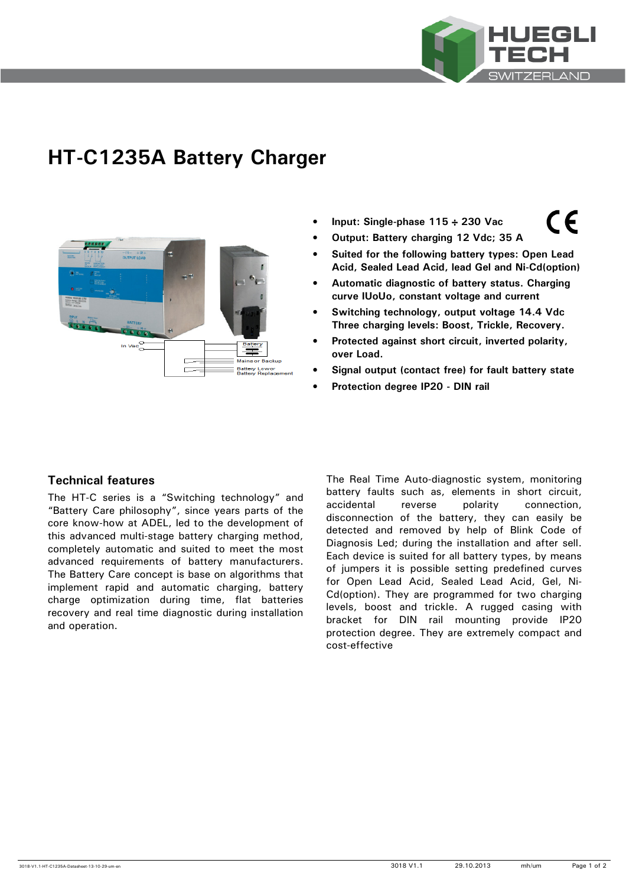

 $\epsilon$ 

# **HT-C1235A Battery Charger**



- **Input: Single-phase 115** ÷ **230 Vac**
- **Output: Battery charging 12 Vdc; 35 A**
- **Suited for the following battery types: Open Lead Acid, Sealed Lead Acid, lead Gel and Ni-Cd(option)**
- **Automatic diagnostic of battery status. Charging curve IUoUo, constant voltage and current**
- **Switching technology, output voltage 14.4 Vdc Three charging levels: Boost, Trickle, Recovery.**
- **Protected against short circuit, inverted polarity, over Load.**
- **Signal output (contact free) for fault battery state**
- **Protection degree IP20 DIN rail**

# **Technical features**

The HT-C series is a "Switching technology" and "Battery Care philosophy", since years parts of the core know-how at ADEL, led to the development of this advanced multi-stage battery charging method, completely automatic and suited to meet the most advanced requirements of battery manufacturers. The Battery Care concept is base on algorithms that implement rapid and automatic charging, battery charge optimization during time, flat batteries recovery and real time diagnostic during installation and operation.

The Real Time Auto-diagnostic system, monitoring battery faults such as, elements in short circuit, accidental reverse polarity connection, disconnection of the battery, they can easily be detected and removed by help of Blink Code of Diagnosis Led; during the installation and after sell. Each device is suited for all battery types, by means of jumpers it is possible setting predefined curves for Open Lead Acid, Sealed Lead Acid, Gel, Ni-Cd(option). They are programmed for two charging levels, boost and trickle. A rugged casing with bracket for DIN rail mounting provide IP20 protection degree. They are extremely compact and cost-effective